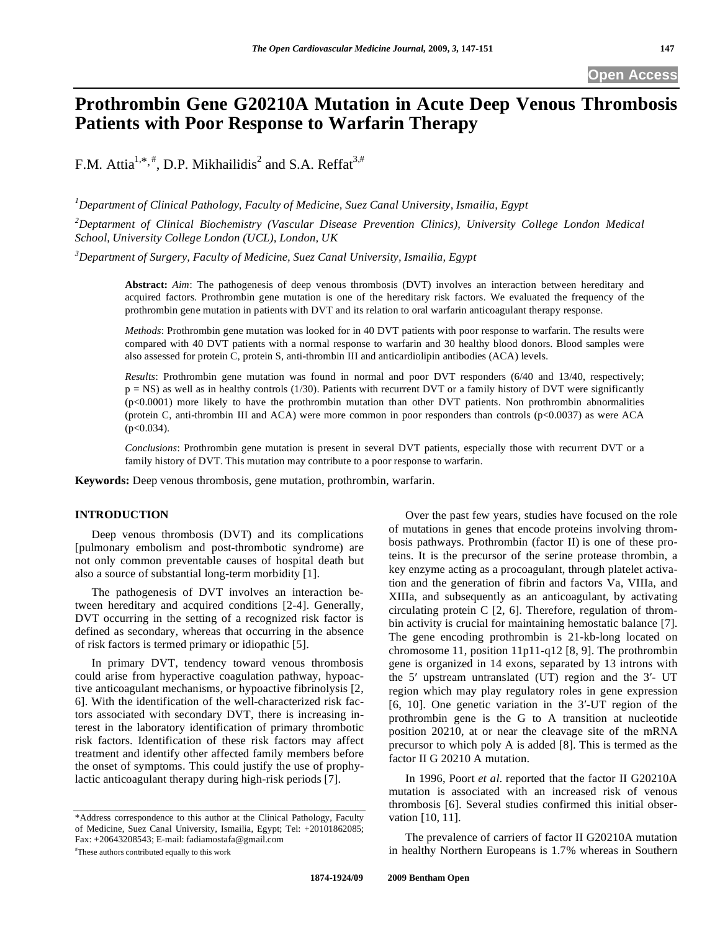# **Prothrombin Gene G20210A Mutation in Acute Deep Venous Thrombosis Patients with Poor Response to Warfarin Therapy**

F.M. Attia<sup>1,\*,#</sup>, D.P. Mikhailidis<sup>2</sup> and S.A. Reffat<sup>3,#</sup>

*1 Department of Clinical Pathology, Faculty of Medicine, Suez Canal University, Ismailia, Egypt* 

*2 Deptarment of Clinical Biochemistry (Vascular Disease Prevention Clinics), University College London Medical School, University College London (UCL), London, UK* 

*3 Department of Surgery, Faculty of Medicine, Suez Canal University, Ismailia, Egypt* 

**Abstract:** *Aim*: The pathogenesis of deep venous thrombosis (DVT) involves an interaction between hereditary and acquired factors. Prothrombin gene mutation is one of the hereditary risk factors. We evaluated the frequency of the prothrombin gene mutation in patients with DVT and its relation to oral warfarin anticoagulant therapy response.

*Methods*: Prothrombin gene mutation was looked for in 40 DVT patients with poor response to warfarin. The results were compared with 40 DVT patients with a normal response to warfarin and 30 healthy blood donors. Blood samples were also assessed for protein C, protein S, anti-thrombin III and anticardiolipin antibodies (ACA) levels.

*Results*: Prothrombin gene mutation was found in normal and poor DVT responders (6/40 and 13/40, respectively;  $p = NS$ ) as well as in healthy controls (1/30). Patients with recurrent DVT or a family history of DVT were significantly (p<0.0001) more likely to have the prothrombin mutation than other DVT patients. Non prothrombin abnormalities (protein C, anti-thrombin III and ACA) were more common in poor responders than controls (p<0.0037) as were ACA (p<0.034).

*Conclusions*: Prothrombin gene mutation is present in several DVT patients, especially those with recurrent DVT or a family history of DVT. This mutation may contribute to a poor response to warfarin.

**Keywords:** Deep venous thrombosis, gene mutation, prothrombin, warfarin.

# **INTRODUCTION**

 Deep venous thrombosis (DVT) and its complications [pulmonary embolism and post-thrombotic syndrome) are not only common preventable causes of hospital death but also a source of substantial long-term morbidity [1].

 The pathogenesis of DVT involves an interaction between hereditary and acquired conditions [2-4]. Generally, DVT occurring in the setting of a recognized risk factor is defined as secondary, whereas that occurring in the absence of risk factors is termed primary or idiopathic [5].

 In primary DVT, tendency toward venous thrombosis could arise from hyperactive coagulation pathway, hypoactive anticoagulant mechanisms, or hypoactive fibrinolysis [2, 6]. With the identification of the well-characterized risk factors associated with secondary DVT, there is increasing interest in the laboratory identification of primary thrombotic risk factors. Identification of these risk factors may affect treatment and identify other affected family members before the onset of symptoms. This could justify the use of prophylactic anticoagulant therapy during high-risk periods [7].

\*Address correspondence to this author at the Clinical Pathology, Faculty of Medicine, Suez Canal University, Ismailia, Egypt; Tel: +20101862085; Fax: +20643208543; E-mail: fadiamostafa@gmail.com #

These authors contributed equally to this work

 Over the past few years, studies have focused on the role of mutations in genes that encode proteins involving thrombosis pathways. Prothrombin (factor II) is one of these proteins. It is the precursor of the serine protease thrombin, a key enzyme acting as a procoagulant, through platelet activation and the generation of fibrin and factors Va, VIIIa, and XIIIa, and subsequently as an anticoagulant, by activating circulating protein C [2, 6]. Therefore, regulation of thrombin activity is crucial for maintaining hemostatic balance [7]. The gene encoding prothrombin is 21-kb-long located on chromosome 11, position 11p11-q12 [8, 9]. The prothrombin gene is organized in 14 exons, separated by 13 introns with the  $5'$  upstream untranslated (UT) region and the  $3'$ - UT region which may play regulatory roles in gene expression [6, 10]. One genetic variation in the 3-UT region of the prothrombin gene is the G to A transition at nucleotide position 20210, at or near the cleavage site of the mRNA precursor to which poly A is added [8]. This is termed as the factor II G 20210 A mutation.

 In 1996, Poort *et al*. reported that the factor II G20210A mutation is associated with an increased risk of venous thrombosis [6]. Several studies confirmed this initial observation [10, 11].

 The prevalence of carriers of factor II G20210A mutation in healthy Northern Europeans is 1.7% whereas in Southern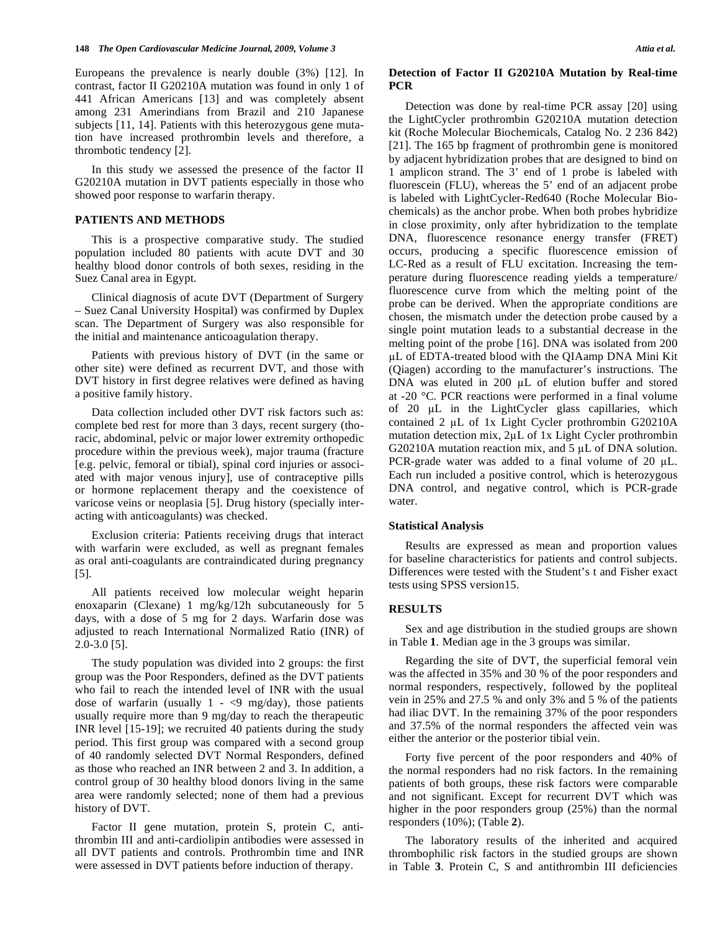Europeans the prevalence is nearly double (3%) [12]. In contrast, factor II G20210A mutation was found in only 1 of 441 African Americans [13] and was completely absent among 231 Amerindians from Brazil and 210 Japanese subjects [11, 14]. Patients with this heterozygous gene mutation have increased prothrombin levels and therefore, a thrombotic tendency [2].

 In this study we assessed the presence of the factor II G20210A mutation in DVT patients especially in those who showed poor response to warfarin therapy.

# **PATIENTS AND METHODS**

 This is a prospective comparative study. The studied population included 80 patients with acute DVT and 30 healthy blood donor controls of both sexes, residing in the Suez Canal area in Egypt.

 Clinical diagnosis of acute DVT (Department of Surgery – Suez Canal University Hospital) was confirmed by Duplex scan. The Department of Surgery was also responsible for the initial and maintenance anticoagulation therapy.

 Patients with previous history of DVT (in the same or other site) were defined as recurrent DVT, and those with DVT history in first degree relatives were defined as having a positive family history.

 Data collection included other DVT risk factors such as: complete bed rest for more than 3 days, recent surgery (thoracic, abdominal, pelvic or major lower extremity orthopedic procedure within the previous week), major trauma (fracture [e.g. pelvic, femoral or tibial), spinal cord injuries or associated with major venous injury], use of contraceptive pills or hormone replacement therapy and the coexistence of varicose veins or neoplasia [5]. Drug history (specially interacting with anticoagulants) was checked.

 Exclusion criteria: Patients receiving drugs that interact with warfarin were excluded, as well as pregnant females as oral anti-coagulants are contraindicated during pregnancy [5].

 All patients received low molecular weight heparin enoxaparin (Clexane) 1 mg/kg/12h subcutaneously for 5 days, with a dose of 5 mg for 2 days. Warfarin dose was adjusted to reach International Normalized Ratio (INR) of 2.0-3.0 [5].

 The study population was divided into 2 groups: the first group was the Poor Responders, defined as the DVT patients who fail to reach the intended level of INR with the usual dose of warfarin (usually  $1 - \langle 9 \rangle$  mg/day), those patients usually require more than 9 mg/day to reach the therapeutic INR level [15-19]; we recruited 40 patients during the study period. This first group was compared with a second group of 40 randomly selected DVT Normal Responders, defined as those who reached an INR between 2 and 3. In addition, a control group of 30 healthy blood donors living in the same area were randomly selected; none of them had a previous history of DVT.

 Factor II gene mutation, protein S, protein C, antithrombin III and anti-cardiolipin antibodies were assessed in all DVT patients and controls. Prothrombin time and INR were assessed in DVT patients before induction of therapy.

### **Detection of Factor II G20210A Mutation by Real-time PCR**

 Detection was done by real-time PCR assay [20] using the LightCycler prothrombin G20210A mutation detection kit (Roche Molecular Biochemicals, Catalog No. 2 236 842) [21]. The 165 bp fragment of prothrombin gene is monitored by adjacent hybridization probes that are designed to bind on 1 amplicon strand. The 3' end of 1 probe is labeled with fluorescein (FLU), whereas the 5' end of an adjacent probe is labeled with LightCycler-Red640 (Roche Molecular Biochemicals) as the anchor probe. When both probes hybridize in close proximity, only after hybridization to the template DNA, fluorescence resonance energy transfer (FRET) occurs, producing a specific fluorescence emission of LC-Red as a result of FLU excitation. Increasing the temperature during fluorescence reading yields a temperature/ fluorescence curve from which the melting point of the probe can be derived. When the appropriate conditions are chosen, the mismatch under the detection probe caused by a single point mutation leads to a substantial decrease in the melting point of the probe [16]. DNA was isolated from 200 L of EDTA-treated blood with the QIAamp DNA Mini Kit (Qiagen) according to the manufacturer's instructions. The DNA was eluted in  $200 \mu L$  of elution buffer and stored at -20 °C. PCR reactions were performed in a final volume of  $20 \mu L$  in the LightCycler glass capillaries, which contained 2 µL of 1x Light Cycler prothrombin G20210A mutation detection mix,  $2\mu L$  of 1x Light Cycler prothrombin G20210A mutation reaction mix, and  $5 \mu L$  of DNA solution. PCR-grade water was added to a final volume of  $20 \mu L$ . Each run included a positive control, which is heterozygous DNA control, and negative control, which is PCR-grade water.

# **Statistical Analysis**

 Results are expressed as mean and proportion values for baseline characteristics for patients and control subjects. Differences were tested with the Student's t and Fisher exact tests using SPSS version15.

## **RESULTS**

 Sex and age distribution in the studied groups are shown in Table **1**. Median age in the 3 groups was similar.

 Regarding the site of DVT, the superficial femoral vein was the affected in 35% and 30 % of the poor responders and normal responders, respectively, followed by the popliteal vein in 25% and 27.5 % and only 3% and 5 % of the patients had iliac DVT. In the remaining 37% of the poor responders and 37.5% of the normal responders the affected vein was either the anterior or the posterior tibial vein.

 Forty five percent of the poor responders and 40% of the normal responders had no risk factors. In the remaining patients of both groups, these risk factors were comparable and not significant. Except for recurrent DVT which was higher in the poor responders group (25%) than the normal responders (10%); (Table **2**).

 The laboratory results of the inherited and acquired thrombophilic risk factors in the studied groups are shown in Table **3**. Protein C, S and antithrombin III deficiencies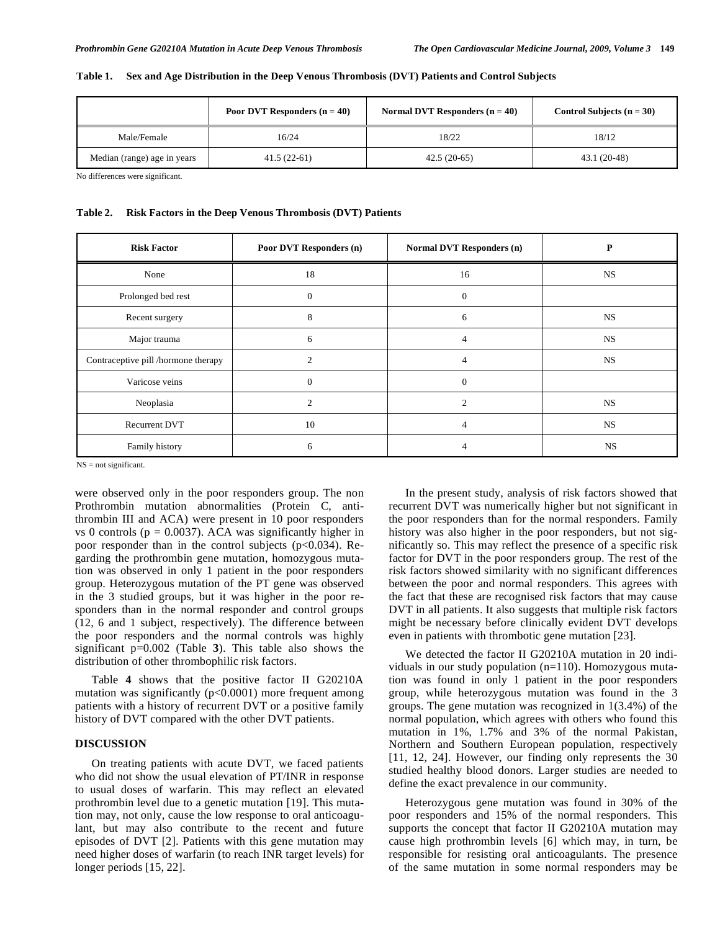|                             | <b>Poor DVT Responders (n = 40)</b> | Normal DVT Responders $(n = 40)$ | Control Subjects $(n = 30)$ |  |  |
|-----------------------------|-------------------------------------|----------------------------------|-----------------------------|--|--|
| Male/Female                 | 16/24                               | 18/22                            | 18/12                       |  |  |
| Median (range) age in years | $41.5(22-61)$                       | $42.5(20-65)$                    | $43.1(20-48)$               |  |  |

#### **Table 1. Sex and Age Distribution in the Deep Venous Thrombosis (DVT) Patients and Control Subjects**

No differences were significant.

#### **Table 2. Risk Factors in the Deep Venous Thrombosis (DVT) Patients**

| <b>Risk Factor</b>                  | <b>Poor DVT Responders (n)</b> | <b>Normal DVT Responders (n)</b> | P         |  |
|-------------------------------------|--------------------------------|----------------------------------|-----------|--|
| None                                | 18                             | 16                               | <b>NS</b> |  |
| Prolonged bed rest                  | $\Omega$<br>$\mathbf{0}$       |                                  |           |  |
| Recent surgery                      | 8                              | 6                                | <b>NS</b> |  |
| Major trauma                        | 6                              | 4                                | <b>NS</b> |  |
| Contraceptive pill /hormone therapy | $\overline{c}$                 | 4                                | <b>NS</b> |  |
| Varicose veins                      | $\overline{0}$                 | $\mathbf{0}$                     |           |  |
| Neoplasia                           | $\mathfrak{D}$                 | $\mathfrak{D}$                   | <b>NS</b> |  |
| <b>Recurrent DVT</b>                | 10                             | 4                                | <b>NS</b> |  |
| Family history                      | 6                              | 4                                | <b>NS</b> |  |

NS = not significant.

were observed only in the poor responders group. The non Prothrombin mutation abnormalities (Protein C, antithrombin III and ACA) were present in 10 poor responders vs 0 controls ( $p = 0.0037$ ). ACA was significantly higher in poor responder than in the control subjects (p<0.034). Regarding the prothrombin gene mutation, homozygous mutation was observed in only 1 patient in the poor responders group. Heterozygous mutation of the PT gene was observed in the 3 studied groups, but it was higher in the poor responders than in the normal responder and control groups (12, 6 and 1 subject, respectively). The difference between the poor responders and the normal controls was highly significant p=0.002 (Table **3**). This table also shows the distribution of other thrombophilic risk factors.

 Table **4** shows that the positive factor II G20210A mutation was significantly  $(p<0.0001)$  more frequent among patients with a history of recurrent DVT or a positive family history of DVT compared with the other DVT patients.

### **DISCUSSION**

 On treating patients with acute DVT, we faced patients who did not show the usual elevation of PT/INR in response to usual doses of warfarin. This may reflect an elevated prothrombin level due to a genetic mutation [19]. This mutation may, not only, cause the low response to oral anticoagulant, but may also contribute to the recent and future episodes of DVT [2]. Patients with this gene mutation may need higher doses of warfarin (to reach INR target levels) for longer periods [15, 22].

 In the present study, analysis of risk factors showed that recurrent DVT was numerically higher but not significant in the poor responders than for the normal responders. Family history was also higher in the poor responders, but not significantly so. This may reflect the presence of a specific risk factor for DVT in the poor responders group. The rest of the risk factors showed similarity with no significant differences between the poor and normal responders. This agrees with the fact that these are recognised risk factors that may cause DVT in all patients. It also suggests that multiple risk factors might be necessary before clinically evident DVT develops even in patients with thrombotic gene mutation [23].

 We detected the factor II G20210A mutation in 20 individuals in our study population (n=110). Homozygous mutation was found in only 1 patient in the poor responders group, while heterozygous mutation was found in the 3 groups. The gene mutation was recognized in 1(3.4%) of the normal population, which agrees with others who found this mutation in 1%, 1.7% and 3% of the normal Pakistan, Northern and Southern European population, respectively [11, 12, 24]. However, our finding only represents the 30 studied healthy blood donors. Larger studies are needed to define the exact prevalence in our community.

 Heterozygous gene mutation was found in 30% of the poor responders and 15% of the normal responders. This supports the concept that factor II G20210A mutation may cause high prothrombin levels [6] which may, in turn, be responsible for resisting oral anticoagulants. The presence of the same mutation in some normal responders may be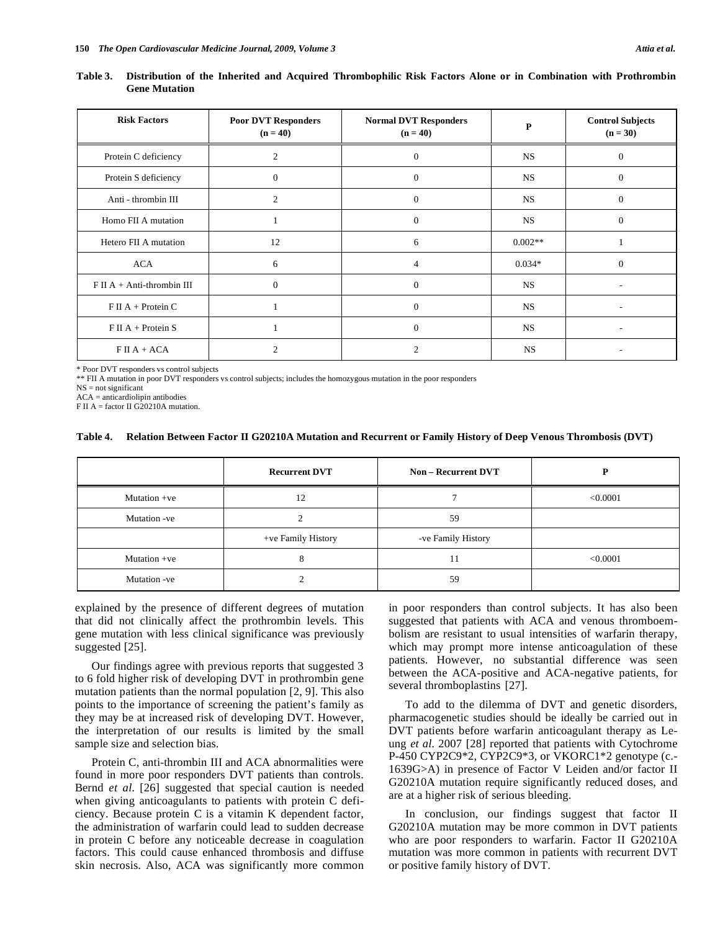| Table 3. Distribution of the Inherited and Acquired Thrombophilic Risk Factors Alone or in Combination with Prothrombin |  |  |  |  |  |
|-------------------------------------------------------------------------------------------------------------------------|--|--|--|--|--|
| <b>Gene Mutation</b>                                                                                                    |  |  |  |  |  |

| <b>Risk Factors</b>          | <b>Poor DVT Responders</b><br>$(n = 40)$ | <b>Normal DVT Responders</b><br>$(n = 40)$ | P         | <b>Control Subjects</b><br>$(n = 30)$ |
|------------------------------|------------------------------------------|--------------------------------------------|-----------|---------------------------------------|
| Protein C deficiency         | 2                                        | $\overline{0}$                             | <b>NS</b> | $\Omega$                              |
| Protein S deficiency         | $\Omega$                                 | $\overline{0}$                             | <b>NS</b> | $\Omega$                              |
| Anti - thrombin III          | $\overline{2}$                           | $\boldsymbol{0}$                           | NS        | $\mathbf{0}$                          |
| Homo FII A mutation          |                                          | $\theta$                                   | <b>NS</b> | $\theta$                              |
| Hetero FII A mutation        | 12                                       | 6                                          | $0.002**$ | 1                                     |
| <b>ACA</b>                   | 6                                        | $\overline{4}$                             | $0.034*$  | $\Omega$                              |
| $F II A + Anti-thrombin III$ | $\Omega$                                 | $\Omega$                                   | <b>NS</b> |                                       |
| $F \amalg A +$ Protein C     |                                          | $\overline{0}$                             | <b>NS</b> |                                       |
| $F II A + Protein S$         |                                          | $\theta$                                   | <b>NS</b> |                                       |
| $F II A + ACA$               |                                          | 2                                          | NS        |                                       |

\* Poor DVT responders vs control subjects

\*\* FII A mutation in poor DVT responders vs control subjects; includes the homozygous mutation in the poor responders

NS = not significant

ACA = anticardiolipin antibodies

F II A = factor II G20210A mutation.

#### **Table 4. Relation Between Factor II G20210A Mutation and Recurrent or Family History of Deep Venous Thrombosis (DVT)**

|              | <b>Recurrent DVT</b><br><b>Non – Recurrent DVT</b> |                    |          |
|--------------|----------------------------------------------------|--------------------|----------|
| Mutation +ve | 12                                                 |                    | < 0.0001 |
| Mutation -ve |                                                    | 59                 |          |
|              | +ve Family History                                 | -ve Family History |          |
| Mutation +ve | 8                                                  | 11                 | < 0.0001 |
| Mutation -ve |                                                    | 59                 |          |

explained by the presence of different degrees of mutation that did not clinically affect the prothrombin levels. This gene mutation with less clinical significance was previously suggested [25].

 Our findings agree with previous reports that suggested 3 to 6 fold higher risk of developing DVT in prothrombin gene mutation patients than the normal population [2, 9]. This also points to the importance of screening the patient's family as they may be at increased risk of developing DVT. However, the interpretation of our results is limited by the small sample size and selection bias.

 Protein C, anti-thrombin III and ACA abnormalities were found in more poor responders DVT patients than controls. Bernd *et al*. [26] suggested that special caution is needed when giving anticoagulants to patients with protein C deficiency. Because protein C is a vitamin K dependent factor, the administration of warfarin could lead to sudden decrease in protein C before any noticeable decrease in coagulation factors. This could cause enhanced thrombosis and diffuse skin necrosis. Also, ACA was significantly more common in poor responders than control subjects. It has also been suggested that patients with ACA and venous thromboembolism are resistant to usual intensities of warfarin therapy, which may prompt more intense anticoagulation of these patients. However, no substantial difference was seen between the ACA-positive and ACA-negative patients, for several thromboplastins [27].

 To add to the dilemma of DVT and genetic disorders, pharmacogenetic studies should be ideally be carried out in DVT patients before warfarin anticoagulant therapy as Leung *et al*. 2007 [28] reported that patients with Cytochrome P-450 CYP2C9\*2, CYP2C9\*3, or VKORC1\*2 genotype (c.- 1639G>A) in presence of Factor V Leiden and/or factor II G20210A mutation require significantly reduced doses, and are at a higher risk of serious bleeding.

 In conclusion, our findings suggest that factor II G20210A mutation may be more common in DVT patients who are poor responders to warfarin. Factor II G20210A mutation was more common in patients with recurrent DVT or positive family history of DVT.